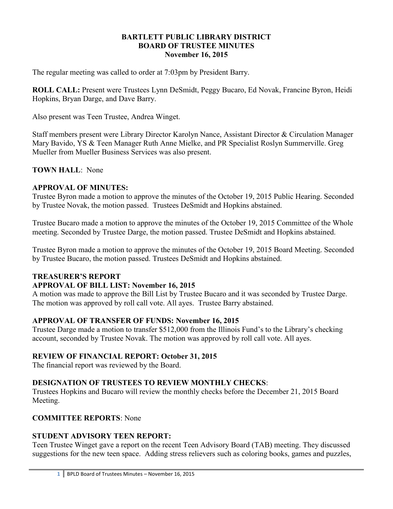#### **BARTLETT PUBLIC LIBRARY DISTRICT BOARD OF TRUSTEE MINUTES November 16, 2015**

The regular meeting was called to order at 7:03pm by President Barry.

**ROLL CALL:** Present were Trustees Lynn DeSmidt, Peggy Bucaro, Ed Novak, Francine Byron, Heidi Hopkins, Bryan Darge, and Dave Barry.

Also present was Teen Trustee, Andrea Winget.

Staff members present were Library Director Karolyn Nance, Assistant Director & Circulation Manager Mary Bavido, YS & Teen Manager Ruth Anne Mielke, and PR Specialist Roslyn Summerville. Greg Mueller from Mueller Business Services was also present.

**TOWN HALL**: None

### **APPROVAL OF MINUTES:**

Trustee Byron made a motion to approve the minutes of the October 19, 2015 Public Hearing. Seconded by Trustee Novak, the motion passed. Trustees DeSmidt and Hopkins abstained.

Trustee Bucaro made a motion to approve the minutes of the October 19, 2015 Committee of the Whole meeting. Seconded by Trustee Darge, the motion passed. Trustee DeSmidt and Hopkins abstained.

Trustee Byron made a motion to approve the minutes of the October 19, 2015 Board Meeting. Seconded by Trustee Bucaro, the motion passed. Trustees DeSmidt and Hopkins abstained.

### **TREASURER'S REPORT**

### **APPROVAL OF BILL LIST: November 16, 2015**

A motion was made to approve the Bill List by Trustee Bucaro and it was seconded by Trustee Darge. The motion was approved by roll call vote. All ayes. Trustee Barry abstained.

### **APPROVAL OF TRANSFER OF FUNDS: November 16, 2015**

Trustee Darge made a motion to transfer \$512,000 from the Illinois Fund's to the Library's checking account, seconded by Trustee Novak. The motion was approved by roll call vote. All ayes.

### **REVIEW OF FINANCIAL REPORT: October 31, 2015**

The financial report was reviewed by the Board.

### **DESIGNATION OF TRUSTEES TO REVIEW MONTHLY CHECKS**:

Trustees Hopkins and Bucaro will review the monthly checks before the December 21, 2015 Board Meeting.

### **COMMITTEE REPORTS**: None

### **STUDENT ADVISORY TEEN REPORT:**

Teen Trustee Winget gave a report on the recent Teen Advisory Board (TAB) meeting. They discussed suggestions for the new teen space. Adding stress relievers such as coloring books, games and puzzles,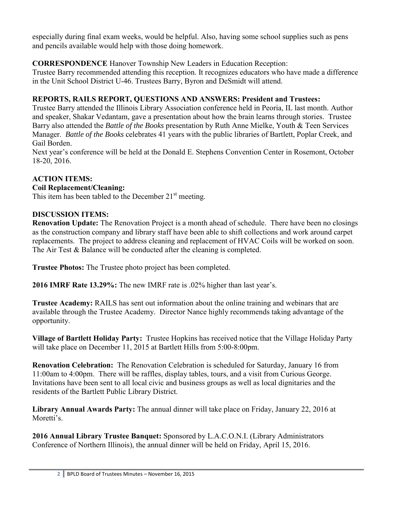especially during final exam weeks, would be helpful. Also, having some school supplies such as pens and pencils available would help with those doing homework.

# **CORRESPONDENCE** Hanover Township New Leaders in Education Reception:

Trustee Barry recommended attending this reception. It recognizes educators who have made a difference in the Unit School District U-46. Trustees Barry, Byron and DeSmidt will attend.

## **REPORTS, RAILS REPORT, QUESTIONS AND ANSWERS: President and Trustees:**

Trustee Barry attended the Illinois Library Association conference held in Peoria, IL last month. Author and speaker, Shakar Vedantam, gave a presentation about how the brain learns through stories. Trustee Barry also attended the *Battle of the Books* presentation by Ruth Anne Mielke, Youth & Teen Services Manager. *Battle of the Books* celebrates 41 years with the public libraries of Bartlett, Poplar Creek, and Gail Borden.

Next year's conference will be held at the Donald E. Stephens Convention Center in Rosemont, October 18-20, 2016.

## **ACTION ITEMS:**

### **Coil Replacement/Cleaning:**

This item has been tabled to the December  $21<sup>st</sup>$  meeting.

### **DISCUSSION ITEMS:**

**Renovation Update:** The Renovation Project is a month ahead of schedule. There have been no closings as the construction company and library staff have been able to shift collections and work around carpet replacements. The project to address cleaning and replacement of HVAC Coils will be worked on soon. The Air Test & Balance will be conducted after the cleaning is completed.

**Trustee Photos:** The Trustee photo project has been completed.

**2016 IMRF Rate 13.29%:** The new IMRF rate is .02% higher than last year's.

**Trustee Academy:** RAILS has sent out information about the online training and webinars that are available through the Trustee Academy. Director Nance highly recommends taking advantage of the opportunity.

**Village of Bartlett Holiday Party:** Trustee Hopkins has received notice that the Village Holiday Party will take place on December 11, 2015 at Bartlett Hills from 5:00-8:00pm.

**Renovation Celebration:** The Renovation Celebration is scheduled for Saturday, January 16 from 11:00am to 4:00pm. There will be raffles, display tables, tours, and a visit from Curious George. Invitations have been sent to all local civic and business groups as well as local dignitaries and the residents of the Bartlett Public Library District.

**Library Annual Awards Party:** The annual dinner will take place on Friday, January 22, 2016 at Moretti's.

**2016 Annual Library Trustee Banquet:** Sponsored by L.A.C.O.N.I. (Library Administrators Conference of Northern Illinois), the annual dinner will be held on Friday, April 15, 2016.